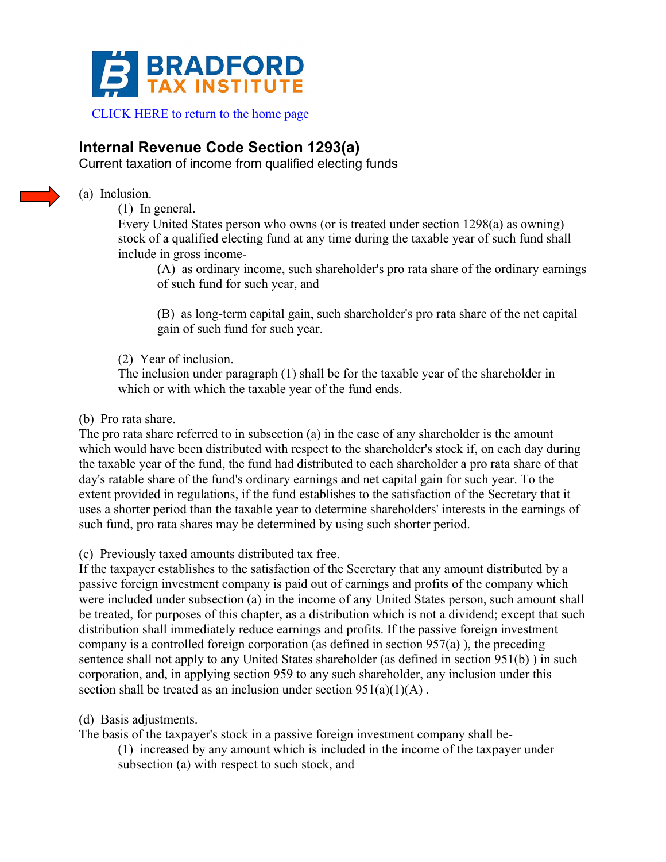

## **Internal Revenue Code Section 1293(a)**

Current taxation of income from qualified electing funds



(a) Inclusion.

(1) In general.

Every United States person who owns (or is treated under section 1298(a) as owning) stock of a qualified electing fund at any time during the taxable year of such fund shall include in gross income-

(A) as ordinary income, such shareholder's pro rata share of the ordinary earnings of such fund for such year, and

(B) as long-term capital gain, such shareholder's pro rata share of the net capital gain of such fund for such year.

(2) Year of inclusion.

The inclusion under paragraph (1) shall be for the taxable year of the shareholder in which or with which the taxable year of the fund ends.

## (b) Pro rata share.

The pro rata share referred to in subsection (a) in the case of any shareholder is the amount which would have been distributed with respect to the shareholder's stock if, on each day during the taxable year of the fund, the fund had distributed to each shareholder a pro rata share of that day's ratable share of the fund's ordinary earnings and net capital gain for such year. To the extent provided in regulations, if the fund establishes to the satisfaction of the Secretary that it uses a shorter period than the taxable year to determine shareholders' interests in the earnings of such fund, pro rata shares may be determined by using such shorter period.

(c) Previously taxed amounts distributed tax free.

If the taxpayer establishes to the satisfaction of the Secretary that any amount distributed by a passive foreign investment company is paid out of earnings and profits of the company which were included under subsection (a) in the income of any United States person, such amount shall be treated, for purposes of this chapter, as a distribution which is not a dividend; except that such distribution shall immediately reduce earnings and profits. If the passive foreign investment company is a controlled foreign corporation (as defined in section  $957(a)$ ), the preceding sentence shall not apply to any United States shareholder (as defined in section 951(b) ) in such corporation, and, in applying section 959 to any such shareholder, any inclusion under this section shall be treated as an inclusion under section  $951(a)(1)(A)$ .

(d) Basis adjustments.

The basis of the taxpayer's stock in a passive foreign investment company shall be-

(1) increased by any amount which is included in the income of the taxpayer under subsection (a) with respect to such stock, and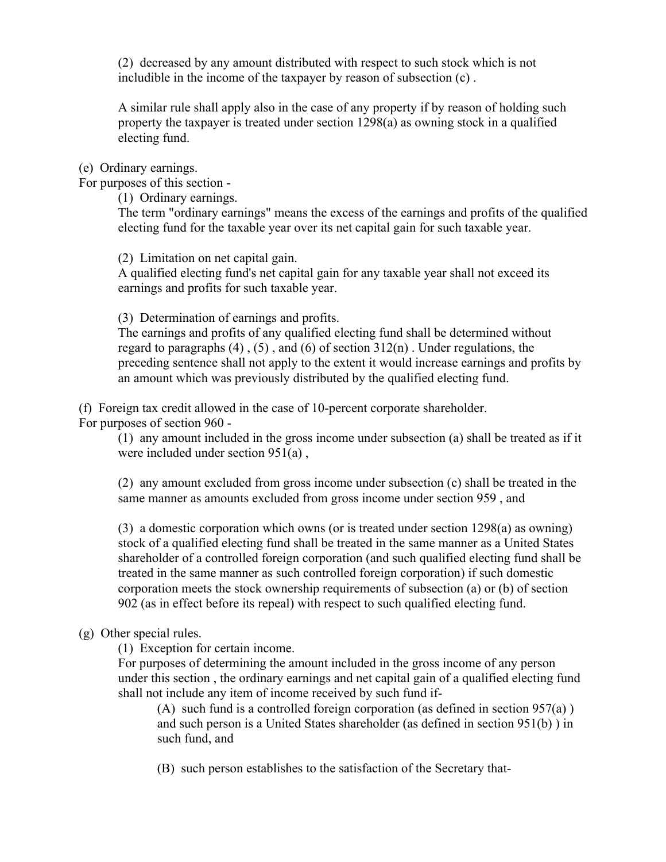(2) decreased by any amount distributed with respect to such stock which is not includible in the income of the taxpayer by reason of subsection (c) .

A similar rule shall apply also in the case of any property if by reason of holding such property the taxpayer is treated under section 1298(a) as owning stock in a qualified electing fund.

(e) Ordinary earnings.

For purposes of this section -

(1) Ordinary earnings.

The term "ordinary earnings" means the excess of the earnings and profits of the qualified electing fund for the taxable year over its net capital gain for such taxable year.

(2) Limitation on net capital gain.

A qualified electing fund's net capital gain for any taxable year shall not exceed its earnings and profits for such taxable year.

(3) Determination of earnings and profits.

The earnings and profits of any qualified electing fund shall be determined without regard to paragraphs  $(4)$ ,  $(5)$ , and  $(6)$  of section  $312(n)$ . Under regulations, the preceding sentence shall not apply to the extent it would increase earnings and profits by an amount which was previously distributed by the qualified electing fund.

(f) Foreign tax credit allowed in the case of 10-percent corporate shareholder. For purposes of section 960 -

(1) any amount included in the gross income under subsection (a) shall be treated as if it were included under section 951(a) ,

(2) any amount excluded from gross income under subsection (c) shall be treated in the same manner as amounts excluded from gross income under section 959 , and

(3) a domestic corporation which owns (or is treated under section 1298(a) as owning) stock of a qualified electing fund shall be treated in the same manner as a United States shareholder of a controlled foreign corporation (and such qualified electing fund shall be treated in the same manner as such controlled foreign corporation) if such domestic corporation meets the stock ownership requirements of subsection (a) or (b) of section 902 (as in effect before its repeal) with respect to such qualified electing fund.

## (g) Other special rules.

(1) Exception for certain income.

For purposes of determining the amount included in the gross income of any person under this section , the ordinary earnings and net capital gain of a qualified electing fund shall not include any item of income received by such fund if-

(A) such fund is a controlled foreign corporation (as defined in section 957(a) ) and such person is a United States shareholder (as defined in section 951(b) ) in such fund, and

(B) such person establishes to the satisfaction of the Secretary that-